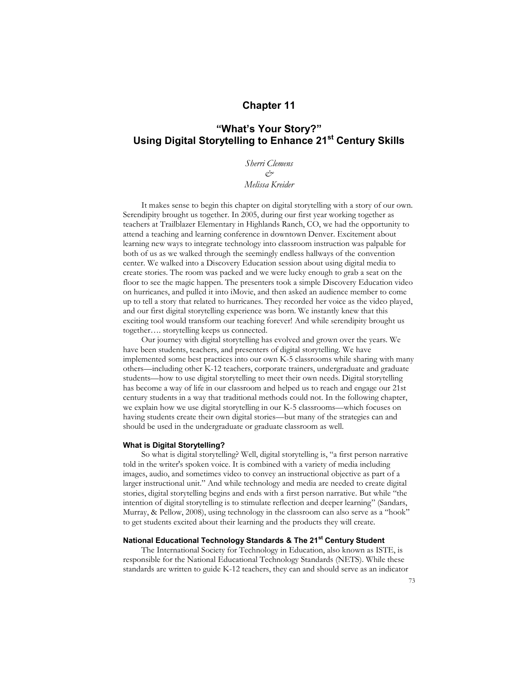### **Chapter 11**

## **"What's Your Story?" Using Digital Storytelling to Enhance 21st Century Skills**

*Sherri Clemens & Melissa Kreider*

It makes sense to begin this chapter on digital storytelling with a story of our own. Serendipity brought us together. In 2005, during our first year working together as teachers at Trailblazer Elementary in Highlands Ranch, CO, we had the opportunity to attend a teaching and learning conference in downtown Denver. Excitement about learning new ways to integrate technology into classroom instruction was palpable for both of us as we walked through the seemingly endless hallways of the convention center. We walked into a Discovery Education session about using digital media to create stories. The room was packed and we were lucky enough to grab a seat on the floor to see the magic happen. The presenters took a simple Discovery Education video on hurricanes, and pulled it into iMovie, and then asked an audience member to come up to tell a story that related to hurricanes. They recorded her voice as the video played, and our first digital storytelling experience was born. We instantly knew that this exciting tool would transform our teaching forever! And while serendipity brought us together…. storytelling keeps us connected.

Our journey with digital storytelling has evolved and grown over the years. We have been students, teachers, and presenters of digital storytelling. We have implemented some best practices into our own K-5 classrooms while sharing with many others—including other K-12 teachers, corporate trainers, undergraduate and graduate students—how to use digital storytelling to meet their own needs. Digital storytelling has become a way of life in our classroom and helped us to reach and engage our 21st century students in a way that traditional methods could not. In the following chapter, we explain how we use digital storytelling in our K-5 classrooms—which focuses on having students create their own digital stories—but many of the strategies can and should be used in the undergraduate or graduate classroom as well.

#### **What is Digital Storytelling?**

So what is digital storytelling? Well, digital storytelling is, "a first person narrative told in the writer's spoken voice. It is combined with a variety of media including images, audio, and sometimes video to convey an instructional objective as part of a larger instructional unit." And while technology and media are needed to create digital stories, digital storytelling begins and ends with a first person narrative. But while "the intention of digital storytelling is to stimulate reflection and deeper learning" (Sandars, Murray, & Pellow, 2008), using technology in the classroom can also serve as a "hook" to get students excited about their learning and the products they will create.

### **National Educational Technology Standards & The 21st Century Student**

The International Society for Technology in Education, also known as ISTE, is responsible for the National Educational Technology Standards (NETS). While these standards are written to guide K-12 teachers, they can and should serve as an indicator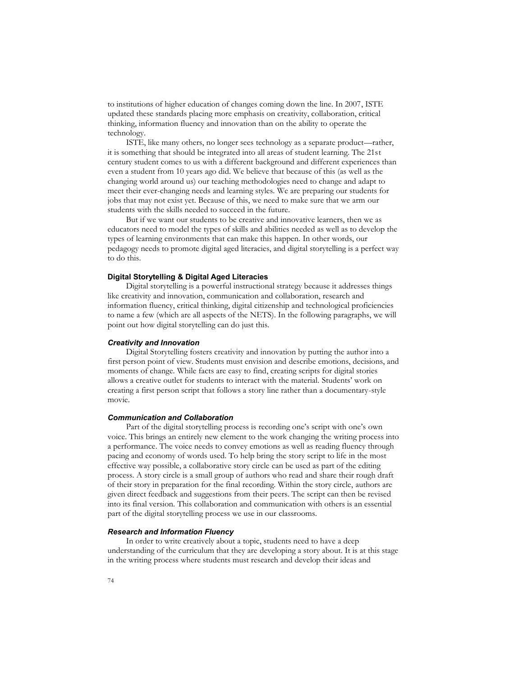to institutions of higher education of changes coming down the line. In 2007, ISTE updated these standards placing more emphasis on creativity, collaboration, critical thinking, information fluency and innovation than on the ability to operate the technology.

ISTE, like many others, no longer sees technology as a separate product—rather, it is something that should be integrated into all areas of student learning. The 21st century student comes to us with a different background and different experiences than even a student from 10 years ago did. We believe that because of this (as well as the changing world around us) our teaching methodologies need to change and adapt to meet their ever-changing needs and learning styles. We are preparing our students for jobs that may not exist yet. Because of this, we need to make sure that we arm our students with the skills needed to succeed in the future.

But if we want our students to be creative and innovative learners, then we as educators need to model the types of skills and abilities needed as well as to develop the types of learning environments that can make this happen. In other words, our pedagogy needs to promote digital aged literacies, and digital storytelling is a perfect way to do this.

#### **Digital Storytelling & Digital Aged Literacies**

Digital storytelling is a powerful instructional strategy because it addresses things like creativity and innovation, communication and collaboration, research and information fluency, critical thinking, digital citizenship and technological proficiencies to name a few (which are all aspects of the NETS). In the following paragraphs, we will point out how digital storytelling can do just this.

#### *Creativity and Innovation*

Digital Storytelling fosters creativity and innovation by putting the author into a first person point of view. Students must envision and describe emotions, decisions, and moments of change. While facts are easy to find, creating scripts for digital stories allows a creative outlet for students to interact with the material. Students' work on creating a first person script that follows a story line rather than a documentary-style movie.

#### *Communication and Collaboration*

Part of the digital storytelling process is recording one's script with one's own voice. This brings an entirely new element to the work changing the writing process into a performance. The voice needs to convey emotions as well as reading fluency through pacing and economy of words used. To help bring the story script to life in the most effective way possible, a collaborative story circle can be used as part of the editing process. A story circle is a small group of authors who read and share their rough draft of their story in preparation for the final recording. Within the story circle, authors are given direct feedback and suggestions from their peers. The script can then be revised into its final version. This collaboration and communication with others is an essential part of the digital storytelling process we use in our classrooms.

#### *Research and Information Fluency*

In order to write creatively about a topic, students need to have a deep understanding of the curriculum that they are developing a story about. It is at this stage in the writing process where students must research and develop their ideas and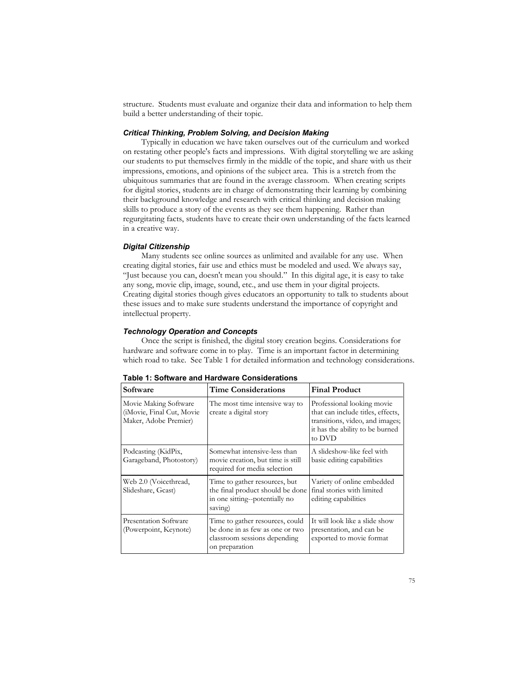structure. Students must evaluate and organize their data and information to help them build a better understanding of their topic.

#### *Critical Thinking, Problem Solving, and Decision Making*

Typically in education we have taken ourselves out of the curriculum and worked on restating other people's facts and impressions. With digital storytelling we are asking our students to put themselves firmly in the middle of the topic, and share with us their impressions, emotions, and opinions of the subject area. This is a stretch from the ubiquitous summaries that are found in the average classroom. When creating scripts for digital stories, students are in charge of demonstrating their learning by combining their background knowledge and research with critical thinking and decision making skills to produce a story of the events as they see them happening. Rather than regurgitating facts, students have to create their own understanding of the facts learned in a creative way.

#### *Digital Citizenship*

Many students see online sources as unlimited and available for any use. When creating digital stories, fair use and ethics must be modeled and used. We always say, "Just because you can, doesn't mean you should." In this digital age, it is easy to take any song, movie clip, image, sound, etc., and use them in your digital projects. Creating digital stories though gives educators an opportunity to talk to students about these issues and to make sure students understand the importance of copyright and intellectual property.

#### *Technology Operation and Concepts*

Once the script is finished, the digital story creation begins. Considerations for hardware and software come in to play. Time is an important factor in determining which road to take. See Table 1 for detailed information and technology considerations.

| Software                                                                     | <b>Time Considerations</b>                                                                                           | <b>Final Product</b>                                                                                                                            |
|------------------------------------------------------------------------------|----------------------------------------------------------------------------------------------------------------------|-------------------------------------------------------------------------------------------------------------------------------------------------|
| Movie Making Software<br>(iMovie, Final Cut, Movie)<br>Maker, Adobe Premier) | The most time intensive way to<br>create a digital story                                                             | Professional looking movie<br>that can include titles, effects,<br>transitions, video, and images;<br>it has the ability to be burned<br>to DVD |
| Podcasting (KidPix,<br>Garageband, Photostory)                               | Somewhat intensive-less than<br>movie creation, but time is still<br>required for media selection                    | A slideshow-like feel with<br>basic editing capabilities                                                                                        |
| Web 2.0 (Voicethread,<br>Slideshare, Gcast)                                  | Time to gather resources, but<br>the final product should be done<br>in one sitting--potentially no<br>saving)       | Variety of online embedded<br>final stories with limited<br>editing capabilities                                                                |
| Presentation Software<br>(Powerpoint, Keynote)                               | Time to gather resources, could<br>be done in as few as one or two<br>classroom sessions depending<br>on preparation | It will look like a slide show<br>presentation, and can be<br>exported to movie format                                                          |

**Table 1: Software and Hardware Considerations**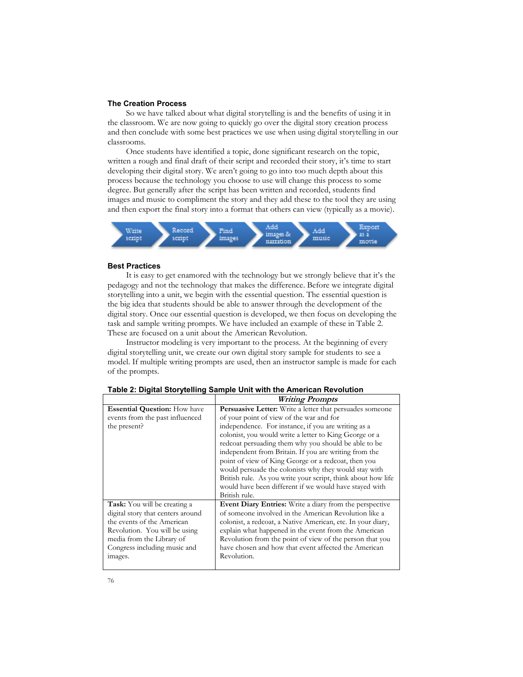#### **The Creation Process**

So we have talked about what digital storytelling is and the benefits of using it in the classroom. We are now going to quickly go over the digital story creation process and then conclude with some best practices we use when using digital storytelling in our classrooms.

Once students have identified a topic, done significant research on the topic, written a rough and final draft of their script and recorded their story, it's time to start developing their digital story. We aren't going to go into too much depth about this process because the technology you choose to use will change this process to some degree. But generally after the script has been written and recorded, students find images and music to compliment the story and they add these to the tool they are using and then export the final story into a format that others can view (typically as a movie).



#### **Best Practices**

It is easy to get enamored with the technology but we strongly believe that it's the pedagogy and not the technology that makes the difference. Before we integrate digital storytelling into a unit, we begin with the essential question. The essential question is the big idea that students should be able to answer through the development of the digital story. Once our essential question is developed, we then focus on developing the task and sample writing prompts. We have included an example of these in Table 2. These are focused on a unit about the American Revolution.

Instructor modeling is very important to the process. At the beginning of every digital storytelling unit, we create our own digital story sample for students to see a model. If multiple writing prompts are used, then an instructor sample is made for each of the prompts.

|                                     | <b>Writing Prompts</b>                                          |
|-------------------------------------|-----------------------------------------------------------------|
| <b>Essential Question:</b> How have | <b>Persuasive Letter:</b> Write a letter that persuades someone |
| events from the past influenced     | of your point of view of the war and for                        |
| the present?                        | independence. For instance, if you are writing as a             |
|                                     | colonist, you would write a letter to King George or a          |
|                                     | redcoat persuading them why you should be able to be            |
|                                     | independent from Britain. If you are writing from the           |
|                                     | point of view of King George or a redcoat, then you             |
|                                     | would persuade the colonists why they would stay with           |
|                                     | British rule. As you write your script, think about how life    |
|                                     | would have been different if we would have stayed with          |
|                                     | British rule.                                                   |
| <b>Task:</b> You will be creating a | <b>Event Diary Entries:</b> Write a diary from the perspective  |
| digital story that centers around   | of someone involved in the American Revolution like a           |
| the events of the American          | colonist, a redcoat, a Native American, etc. In your diary,     |
| Revolution. You will be using       | explain what happened in the event from the American            |
| media from the Library of           | Revolution from the point of view of the person that you        |
| Congress including music and        | have chosen and how that event affected the American            |
| images.                             | Revolution.                                                     |
|                                     |                                                                 |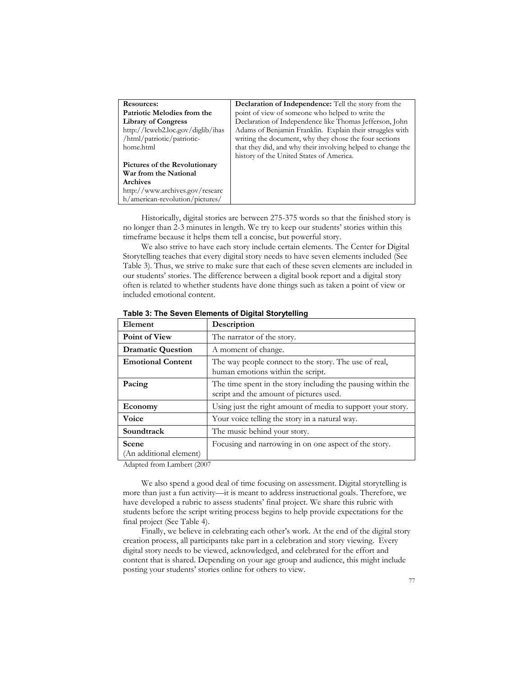| <b>Resources:</b>                 | <b>Declaration of Independence:</b> Tell the story from the |
|-----------------------------------|-------------------------------------------------------------|
| Patriotic Melodies from the       | point of view of someone who helped to write the            |
| <b>Library of Congress</b>        | Declaration of Independence like Thomas Jefferson, John     |
| http://lcweb2.loc.gov/diglib/ihas | Adams of Benjamin Franklin. Explain their struggles with    |
| /html/patriotic/patriotic-        | writing the document, why they chose the four sections      |
| home.html                         | that they did, and why their involving helped to change the |
|                                   | history of the United States of America.                    |
| Pictures of the Revolutionary     |                                                             |
| War from the National             |                                                             |
| <b>Archives</b>                   |                                                             |
| http://www.archives.gov/researc   |                                                             |
| h/american-revolution/pictures/   |                                                             |

Historically, digital stories are between 275-375 words so that the finished story is no longer than 2-3 minutes in length. We try to keep our students' stories within this timeframe because it helps them tell a concise, but powerful story.

We also strive to have each story include certain elements. The Center for Digital Storytelling teaches that every digital story needs to have seven elements included (See Table 3). Thus, we strive to make sure that each of these seven elements are included in our students' stories. The difference between a digital book report and a digital story often is related to whether students have done things such as taken a point of view or included emotional content.

| Element                          | Description                                                                                             |  |  |
|----------------------------------|---------------------------------------------------------------------------------------------------------|--|--|
| <b>Point of View</b>             | The narrator of the story.                                                                              |  |  |
| <b>Dramatic Question</b>         | A moment of change.                                                                                     |  |  |
| <b>Emotional Content</b>         | The way people connect to the story. The use of real,<br>human emotions within the script.              |  |  |
| Pacing                           | The time spent in the story including the pausing within the<br>script and the amount of pictures used. |  |  |
| Economy                          | Using just the right amount of media to support your story.                                             |  |  |
| Voice                            | Your voice telling the story in a natural way.                                                          |  |  |
| Soundtrack                       | The music behind your story.                                                                            |  |  |
| Scene<br>(An additional element) | Focusing and narrowing in on one aspect of the story.                                                   |  |  |

**Table 3: The Seven Elements of Digital Storytelling** 

Adapted from Lambert (2007

We also spend a good deal of time focusing on assessment. Digital storytelling is more than just a fun activity—it is meant to address instructional goals. Therefore, we have developed a rubric to assess students' final project. We share this rubric with students before the script writing process begins to help provide expectations for the final project (See Table 4).

Finally, we believe in celebrating each other's work. At the end of the digital story creation process, all participants take part in a celebration and story viewing. Every digital story needs to be viewed, acknowledged, and celebrated for the effort and content that is shared. Depending on your age group and audience, this might include posting your students' stories online for others to view.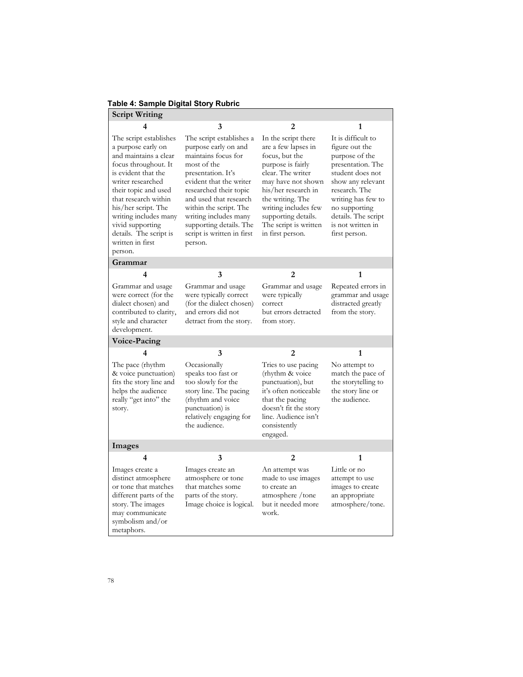# **Table 4: Sample Digital Story Rubric**

| <b>Script Writing</b>                                                                                                                                                                                                                                                                                                  |                                                                                                                                                                                                                                                                                                                    |                                                                                                                                                                                                                                                                     |                                                                                                                                                                                                                                           |
|------------------------------------------------------------------------------------------------------------------------------------------------------------------------------------------------------------------------------------------------------------------------------------------------------------------------|--------------------------------------------------------------------------------------------------------------------------------------------------------------------------------------------------------------------------------------------------------------------------------------------------------------------|---------------------------------------------------------------------------------------------------------------------------------------------------------------------------------------------------------------------------------------------------------------------|-------------------------------------------------------------------------------------------------------------------------------------------------------------------------------------------------------------------------------------------|
|                                                                                                                                                                                                                                                                                                                        | 3                                                                                                                                                                                                                                                                                                                  | 2                                                                                                                                                                                                                                                                   | 1                                                                                                                                                                                                                                         |
| The script establishes<br>a purpose early on<br>and maintains a clear<br>focus throughout. It<br>is evident that the<br>writer researched<br>their topic and used<br>that research within<br>his/her script. The<br>writing includes many<br>vivid supporting<br>details. The script is<br>written in first<br>person. | The script establishes a<br>purpose early on and<br>maintains focus for<br>most of the<br>presentation. It's<br>evident that the writer<br>researched their topic<br>and used that research<br>within the script. The<br>writing includes many<br>supporting details. The<br>script is written in first<br>person. | In the script there<br>are a few lapses in<br>focus, but the<br>purpose is fairly<br>clear. The writer<br>may have not shown<br>his/her research in<br>the writing. The<br>writing includes few<br>supporting details.<br>The script is written<br>in first person. | It is difficult to<br>figure out the<br>purpose of the<br>presentation. The<br>student does not<br>show any relevant<br>research. The<br>writing has few to<br>no supporting<br>details. The script<br>is not written in<br>first person. |
| Grammar                                                                                                                                                                                                                                                                                                                |                                                                                                                                                                                                                                                                                                                    |                                                                                                                                                                                                                                                                     |                                                                                                                                                                                                                                           |
| 4                                                                                                                                                                                                                                                                                                                      | 3                                                                                                                                                                                                                                                                                                                  | 2                                                                                                                                                                                                                                                                   | 1                                                                                                                                                                                                                                         |
| Grammar and usage<br>were correct (for the<br>dialect chosen) and<br>contributed to clarity,<br>style and character<br>development.                                                                                                                                                                                    | Grammar and usage<br>were typically correct<br>(for the dialect chosen)<br>and errors did not<br>detract from the story.                                                                                                                                                                                           | Grammar and usage<br>were typically<br>correct<br>but errors detracted<br>from story.                                                                                                                                                                               | Repeated errors in<br>grammar and usage<br>distracted greatly<br>from the story.                                                                                                                                                          |
| Voice-Pacing                                                                                                                                                                                                                                                                                                           |                                                                                                                                                                                                                                                                                                                    |                                                                                                                                                                                                                                                                     |                                                                                                                                                                                                                                           |
| 4                                                                                                                                                                                                                                                                                                                      | 3                                                                                                                                                                                                                                                                                                                  | 2                                                                                                                                                                                                                                                                   | 1                                                                                                                                                                                                                                         |
| The pace (rhythm<br>& voice punctuation)<br>fits the story line and<br>helps the audience<br>really "get into" the<br>story.                                                                                                                                                                                           | Occasionally<br>speaks too fast or<br>too slowly for the<br>story line. The pacing<br>(rhythm and voice)<br>punctuation) is<br>relatively engaging for<br>the audience.                                                                                                                                            | Tries to use pacing<br>(rhythm & voice<br>punctuation), but<br>it's often noticeable<br>that the pacing<br>doesn't fit the story<br>line. Audience isn't<br>consistently<br>engaged.                                                                                | No attempt to<br>match the pace of<br>the storytelling to<br>the story line or<br>the audience.                                                                                                                                           |
| Images                                                                                                                                                                                                                                                                                                                 |                                                                                                                                                                                                                                                                                                                    |                                                                                                                                                                                                                                                                     |                                                                                                                                                                                                                                           |
| 4                                                                                                                                                                                                                                                                                                                      | 3                                                                                                                                                                                                                                                                                                                  | 2                                                                                                                                                                                                                                                                   | 1                                                                                                                                                                                                                                         |
| Images create a<br>distinct atmosphere<br>or tone that matches<br>different parts of the<br>story. The images<br>may communicate<br>symbolism and/or<br>metaphors.                                                                                                                                                     | Images create an<br>atmosphere or tone<br>that matches some<br>parts of the story.<br>Image choice is logical.                                                                                                                                                                                                     | An attempt was<br>made to use images<br>to create an<br>atmosphere / tone<br>but it needed more<br>work.                                                                                                                                                            | Little or no<br>attempt to use<br>images to create<br>an appropriate<br>atmosphere/tone.                                                                                                                                                  |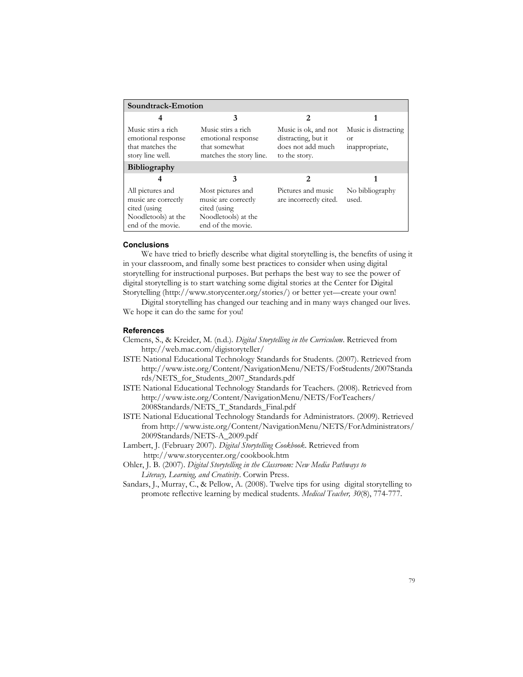| Soundtrack-Emotion                                                                                  |                                                                                                      |                                                                                   |                                                     |  |
|-----------------------------------------------------------------------------------------------------|------------------------------------------------------------------------------------------------------|-----------------------------------------------------------------------------------|-----------------------------------------------------|--|
|                                                                                                     | 3                                                                                                    | 2                                                                                 |                                                     |  |
| Music stirs a rich<br>emotional response<br>that matches the<br>story line well.                    | Music stirs a rich<br>emotional response<br>that somewhat<br>matches the story line.                 | Music is ok, and not<br>distracting, but it<br>does not add much<br>to the story. | Music is distracting<br><b>or</b><br>inappropriate, |  |
| <b>Bibliography</b>                                                                                 |                                                                                                      |                                                                                   |                                                     |  |
|                                                                                                     | 3                                                                                                    | 2                                                                                 |                                                     |  |
| All pictures and<br>music are correctly<br>cited (using<br>Noodletools) at the<br>end of the movie. | Most pictures and<br>music are correctly<br>cited (using<br>Noodletools) at the<br>end of the movie. | Pictures and music<br>are incorrectly cited.                                      | No bibliography<br>used.                            |  |

#### **Conclusions**

We have tried to briefly describe what digital storytelling is, the benefits of using it in your classroom, and finally some best practices to consider when using digital storytelling for instructional purposes. But perhaps the best way to see the power of digital storytelling is to start watching some digital stories at the Center for Digital Storytelling (http://www.storycenter.org/stories/) or better yet—create your own!

Digital storytelling has changed our teaching and in many ways changed our lives. We hope it can do the same for you!

#### **References**

Clemens, S., & Kreider, M. (n.d.). *Digital Storytelling in the Curriculum*. Retrieved from http://web.mac.com/digistoryteller/

- ISTE National Educational Technology Standards for Students. (2007). Retrieved from http://www.iste.org/Content/NavigationMenu/NETS/ForStudents/2007Standa rds/NETS\_for\_Students\_2007\_Standards.pdf
- ISTE National Educational Technology Standards for Teachers. (2008). Retrieved from http://www.iste.org/Content/NavigationMenu/NETS/ForTeachers/ 2008Standards/NETS\_T\_Standards\_Final.pdf
- ISTE National Educational Technology Standards for Administrators. (2009). Retrieved from http://www.iste.org/Content/NavigationMenu/NETS/ForAdministrators/ 2009Standards/NETS-A\_2009.pdf
- Lambert, J. (February 2007). *Digital Storytelling Cookbook*. Retrieved from http://www.storycenter.org/cookbook.htm
- Ohler, J. B. (2007). *Digital Storytelling in the Classroom: New Media Pathways to Literacy, Learning, and Creativity*. Corwin Press.
- Sandars, J., Murray, C., & Pellow, A. (2008). Twelve tips for using digital storytelling to promote reflective learning by medical students. *Medical Teacher, 30*(8), 774-777.